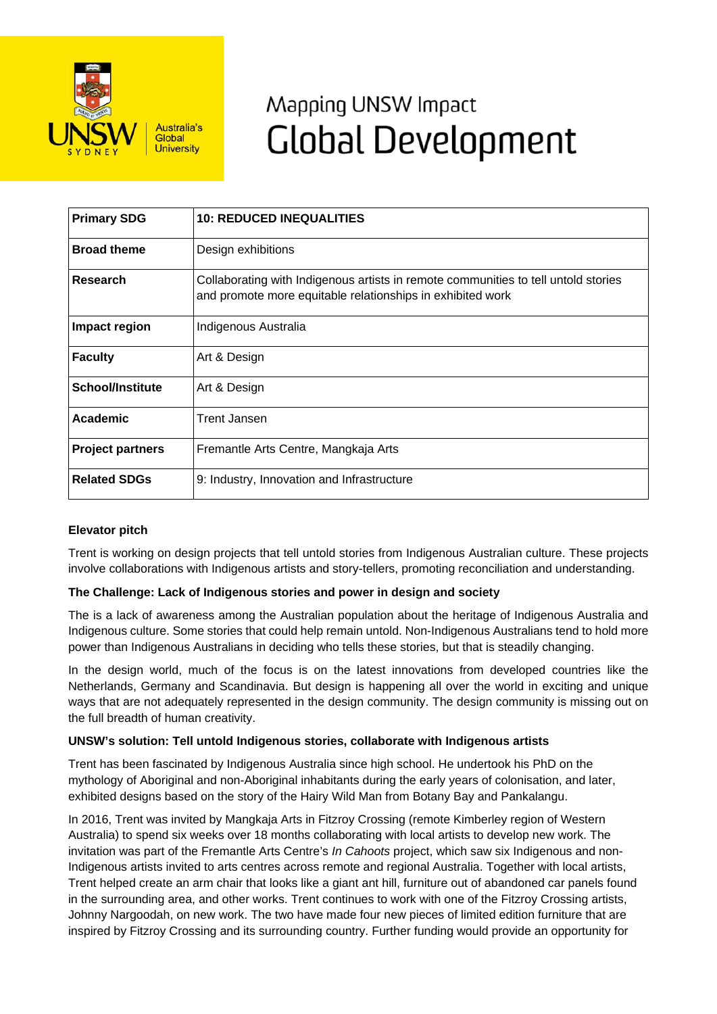

# Mapping UNSW Impact **Global Development**

| <b>Primary SDG</b>      | <b>10: REDUCED INEQUALITIES</b>                                                                                                                  |
|-------------------------|--------------------------------------------------------------------------------------------------------------------------------------------------|
| <b>Broad theme</b>      | Design exhibitions                                                                                                                               |
| Research                | Collaborating with Indigenous artists in remote communities to tell untold stories<br>and promote more equitable relationships in exhibited work |
| Impact region           | Indigenous Australia                                                                                                                             |
| <b>Faculty</b>          | Art & Design                                                                                                                                     |
| <b>School/Institute</b> | Art & Design                                                                                                                                     |
| Academic                | <b>Trent Jansen</b>                                                                                                                              |
| <b>Project partners</b> | Fremantle Arts Centre, Mangkaja Arts                                                                                                             |
| <b>Related SDGs</b>     | 9: Industry, Innovation and Infrastructure                                                                                                       |

## **Elevator pitch**

Trent is working on design projects that tell untold stories from Indigenous Australian culture. These projects involve collaborations with Indigenous artists and story-tellers, promoting reconciliation and understanding.

## **The Challenge: Lack of Indigenous stories and power in design and society**

The is a lack of awareness among the Australian population about the heritage of Indigenous Australia and Indigenous culture. Some stories that could help remain untold. Non-Indigenous Australians tend to hold more power than Indigenous Australians in deciding who tells these stories, but that is steadily changing.

In the design world, much of the focus is on the latest innovations from developed countries like the Netherlands, Germany and Scandinavia. But design is happening all over the world in exciting and unique ways that are not adequately represented in the design community. The design community is missing out on the full breadth of human creativity.

#### **UNSW's solution: Tell untold Indigenous stories, collaborate with Indigenous artists**

Trent has been fascinated by Indigenous Australia since high school. He undertook his PhD on the mythology of Aboriginal and non-Aboriginal inhabitants during the early years of colonisation, and later, exhibited designs based on the story of the Hairy Wild Man from Botany Bay and Pankalangu.

In 2016, Trent was invited by Mangkaja Arts in Fitzroy Crossing (remote Kimberley region of Western Australia) to spend six weeks over 18 months collaborating with local artists to develop new work. The invitation was part of the Fremantle Arts Centre's *In Cahoots* project, which saw six Indigenous and non-Indigenous artists invited to arts centres across remote and regional Australia. Together with local artists, Trent helped create an arm chair that looks like a giant ant hill, furniture out of abandoned car panels found in the surrounding area, and other works. Trent continues to work with one of the Fitzroy Crossing artists, Johnny Nargoodah, on new work. The two have made four new pieces of limited edition furniture that are inspired by Fitzroy Crossing and its surrounding country. Further funding would provide an opportunity for